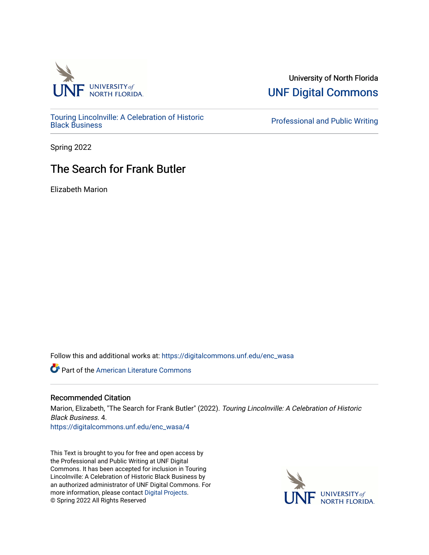

[Touring Lincolnville: A Celebration of Historic](https://digitalcommons.unf.edu/enc_wasa) 

University of North Florida [UNF Digital Commons](https://digitalcommons.unf.edu/) 

**Professional and Public Writing** 

Spring 2022

## The Search for Frank Butler

Elizabeth Marion

Follow this and additional works at: [https://digitalcommons.unf.edu/enc\\_wasa](https://digitalcommons.unf.edu/enc_wasa?utm_source=digitalcommons.unf.edu%2Fenc_wasa%2F4&utm_medium=PDF&utm_campaign=PDFCoverPages) 

**C** Part of the [American Literature Commons](http://network.bepress.com/hgg/discipline/441?utm_source=digitalcommons.unf.edu%2Fenc_wasa%2F4&utm_medium=PDF&utm_campaign=PDFCoverPages)

## Recommended Citation

Marion, Elizabeth, "The Search for Frank Butler" (2022). Touring Lincolnville: A Celebration of Historic Black Business. 4. [https://digitalcommons.unf.edu/enc\\_wasa/4](https://digitalcommons.unf.edu/enc_wasa/4?utm_source=digitalcommons.unf.edu%2Fenc_wasa%2F4&utm_medium=PDF&utm_campaign=PDFCoverPages) 

This Text is brought to you for free and open access by the Professional and Public Writing at UNF Digital Commons. It has been accepted for inclusion in Touring Lincolnville: A Celebration of Historic Black Business by an authorized administrator of UNF Digital Commons. For more information, please contact [Digital Projects](mailto:lib-digital@unf.edu). © Spring 2022 All Rights Reserved

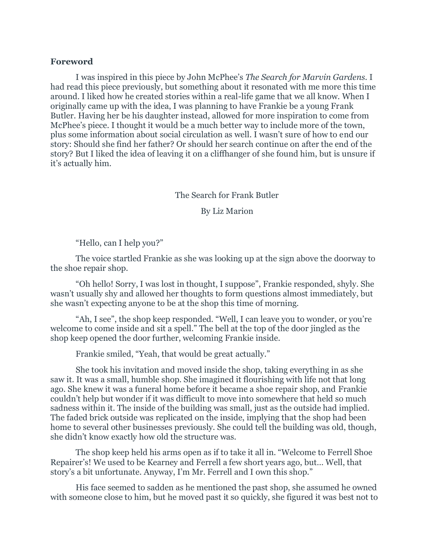## **Foreword**

I was inspired in this piece by John McPhee's *The Search for Marvin Gardens.* I had read this piece previously, but something about it resonated with me more this time around. I liked how he created stories within a real-life game that we all know. When I originally came up with the idea, I was planning to have Frankie be a young Frank Butler. Having her be his daughter instead, allowed for more inspiration to come from McPhee's piece. I thought it would be a much better way to include more of the town, plus some information about social circulation as well. I wasn't sure of how to end our story: Should she find her father? Or should her search continue on after the end of the story? But I liked the idea of leaving it on a cliffhanger of she found him, but is unsure if it's actually him.

## The Search for Frank Butler

By Liz Marion

"Hello, can I help you?"

The voice startled Frankie as she was looking up at the sign above the doorway to the shoe repair shop.

"Oh hello! Sorry, I was lost in thought, I suppose", Frankie responded, shyly. She wasn't usually shy and allowed her thoughts to form questions almost immediately, but she wasn't expecting anyone to be at the shop this time of morning.

"Ah, I see", the shop keep responded. "Well, I can leave you to wonder, or you're welcome to come inside and sit a spell." The bell at the top of the door jingled as the shop keep opened the door further, welcoming Frankie inside.

Frankie smiled, "Yeah, that would be great actually."

She took his invitation and moved inside the shop, taking everything in as she saw it. It was a small, humble shop. She imagined it flourishing with life not that long ago. She knew it was a funeral home before it became a shoe repair shop, and Frankie couldn't help but wonder if it was difficult to move into somewhere that held so much sadness within it. The inside of the building was small, just as the outside had implied. The faded brick outside was replicated on the inside, implying that the shop had been home to several other businesses previously. She could tell the building was old, though, she didn't know exactly how old the structure was.

The shop keep held his arms open as if to take it all in. "Welcome to Ferrell Shoe Repairer's! We used to be Kearney and Ferrell a few short years ago, but… Well, that story's a bit unfortunate. Anyway, I'm Mr. Ferrell and I own this shop."

His face seemed to sadden as he mentioned the past shop, she assumed he owned with someone close to him, but he moved past it so quickly, she figured it was best not to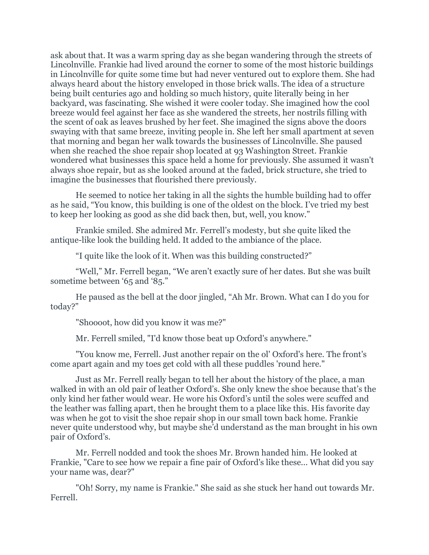ask about that. It was a warm spring day as she began wandering through the streets of Lincolnville. Frankie had lived around the corner to some of the most historic buildings in Lincolnville for quite some time but had never ventured out to explore them. She had always heard about the history enveloped in those brick walls. The idea of a structure being built centuries ago and holding so much history, quite literally being in her backyard, was fascinating. She wished it were cooler today. She imagined how the cool breeze would feel against her face as she wandered the streets, her nostrils filling with the scent of oak as leaves brushed by her feet. She imagined the signs above the doors swaying with that same breeze, inviting people in. She left her small apartment at seven that morning and began her walk towards the businesses of Lincolnville. She paused when she reached the shoe repair shop located at 93 Washington Street. Frankie wondered what businesses this space held a home for previously. She assumed it wasn't always shoe repair, but as she looked around at the faded, brick structure, she tried to imagine the businesses that flourished there previously.

He seemed to notice her taking in all the sights the humble building had to offer as he said, "You know, this building is one of the oldest on the block. I've tried my best to keep her looking as good as she did back then, but, well, you know."

Frankie smiled. She admired Mr. Ferrell's modesty, but she quite liked the antique-like look the building held. It added to the ambiance of the place.

"I quite like the look of it. When was this building constructed?"

"Well," Mr. Ferrell began, "We aren't exactly sure of her dates. But she was built sometime between '65 and '85."

He paused as the bell at the door jingled, "Ah Mr. Brown. What can I do you for today?"

"Shoooot, how did you know it was me?"

Mr. Ferrell smiled, "I'd know those beat up Oxford's anywhere."

"You know me, Ferrell. Just another repair on the ol' Oxford's here. The front's come apart again and my toes get cold with all these puddles 'round here."

Just as Mr. Ferrell really began to tell her about the history of the place, a man walked in with an old pair of leather Oxford's. She only knew the shoe because that's the only kind her father would wear. He wore his Oxford's until the soles were scuffed and the leather was falling apart, then he brought them to a place like this. His favorite day was when he got to visit the shoe repair shop in our small town back home. Frankie never quite understood why, but maybe she'd understand as the man brought in his own pair of Oxford's.

Mr. Ferrell nodded and took the shoes Mr. Brown handed him. He looked at Frankie, "Care to see how we repair a fine pair of Oxford's like these... What did you say your name was, dear?"

"Oh! Sorry, my name is Frankie." She said as she stuck her hand out towards Mr. Ferrell.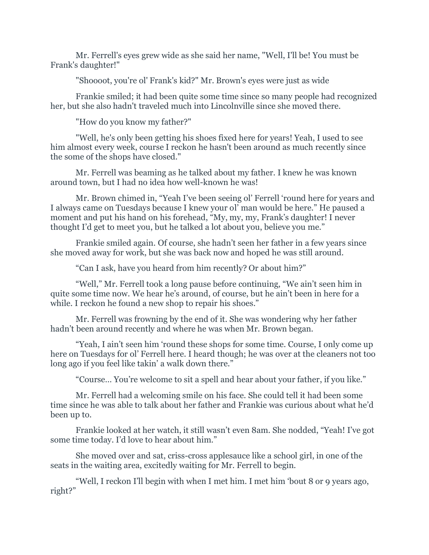Mr. Ferrell's eyes grew wide as she said her name, "Well, I'll be! You must be Frank's daughter!"

"Shoooot, you're ol' Frank's kid?" Mr. Brown's eyes were just as wide

Frankie smiled; it had been quite some time since so many people had recognized her, but she also hadn't traveled much into Lincolnville since she moved there.

"How do you know my father?"

"Well, he's only been getting his shoes fixed here for years! Yeah, I used to see him almost every week, course I reckon he hasn't been around as much recently since the some of the shops have closed."

Mr. Ferrell was beaming as he talked about my father. I knew he was known around town, but I had no idea how well-known he was!

Mr. Brown chimed in, "Yeah I've been seeing ol' Ferrell 'round here for years and I always came on Tuesdays because I knew your ol' man would be here." He paused a moment and put his hand on his forehead, "My, my, my, Frank's daughter! I never thought I'd get to meet you, but he talked a lot about you, believe you me."

Frankie smiled again. Of course, she hadn't seen her father in a few years since she moved away for work, but she was back now and hoped he was still around.

"Can I ask, have you heard from him recently? Or about him?"

"Well," Mr. Ferrell took a long pause before continuing, "We ain't seen him in quite some time now. We hear he's around, of course, but he ain't been in here for a while. I reckon he found a new shop to repair his shoes."

Mr. Ferrell was frowning by the end of it. She was wondering why her father hadn't been around recently and where he was when Mr. Brown began.

"Yeah, I ain't seen him 'round these shops for some time. Course, I only come up here on Tuesdays for ol' Ferrell here. I heard though; he was over at the cleaners not too long ago if you feel like takin' a walk down there."

"Course… You're welcome to sit a spell and hear about your father, if you like."

Mr. Ferrell had a welcoming smile on his face. She could tell it had been some time since he was able to talk about her father and Frankie was curious about what he'd been up to.

Frankie looked at her watch, it still wasn't even 8am. She nodded, "Yeah! I've got some time today. I'd love to hear about him."

She moved over and sat, criss-cross applesauce like a school girl, in one of the seats in the waiting area, excitedly waiting for Mr. Ferrell to begin.

"Well, I reckon I'll begin with when I met him. I met him 'bout 8 or 9 years ago, right?"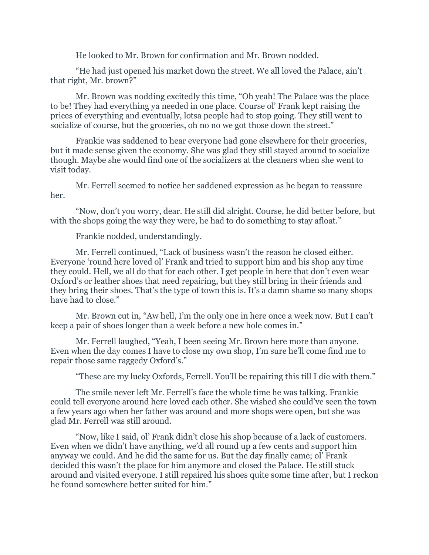He looked to Mr. Brown for confirmation and Mr. Brown nodded.

"He had just opened his market down the street. We all loved the Palace, ain't that right, Mr. brown?"

Mr. Brown was nodding excitedly this time, "Oh yeah! The Palace was the place to be! They had everything ya needed in one place. Course ol' Frank kept raising the prices of everything and eventually, lotsa people had to stop going. They still went to socialize of course, but the groceries, oh no no we got those down the street."

Frankie was saddened to hear everyone had gone elsewhere for their groceries, but it made sense given the economy. She was glad they still stayed around to socialize though. Maybe she would find one of the socializers at the cleaners when she went to visit today.

Mr. Ferrell seemed to notice her saddened expression as he began to reassure her.

"Now, don't you worry, dear. He still did alright. Course, he did better before, but with the shops going the way they were, he had to do something to stay afloat."

Frankie nodded, understandingly.

Mr. Ferrell continued, "Lack of business wasn't the reason he closed either. Everyone 'round here loved ol' Frank and tried to support him and his shop any time they could. Hell, we all do that for each other. I get people in here that don't even wear Oxford's or leather shoes that need repairing, but they still bring in their friends and they bring their shoes. That's the type of town this is. It's a damn shame so many shops have had to close."

Mr. Brown cut in, "Aw hell, I'm the only one in here once a week now. But I can't keep a pair of shoes longer than a week before a new hole comes in."

Mr. Ferrell laughed, "Yeah, I been seeing Mr. Brown here more than anyone. Even when the day comes I have to close my own shop, I'm sure he'll come find me to repair those same raggedy Oxford's."

"These are my lucky Oxfords, Ferrell. You'll be repairing this till I die with them."

The smile never left Mr. Ferrell's face the whole time he was talking. Frankie could tell everyone around here loved each other. She wished she could've seen the town a few years ago when her father was around and more shops were open, but she was glad Mr. Ferrell was still around.

"Now, like I said, ol' Frank didn't close his shop because of a lack of customers. Even when we didn't have anything, we'd all round up a few cents and support him anyway we could. And he did the same for us. But the day finally came; ol' Frank decided this wasn't the place for him anymore and closed the Palace. He still stuck around and visited everyone. I still repaired his shoes quite some time after, but I reckon he found somewhere better suited for him."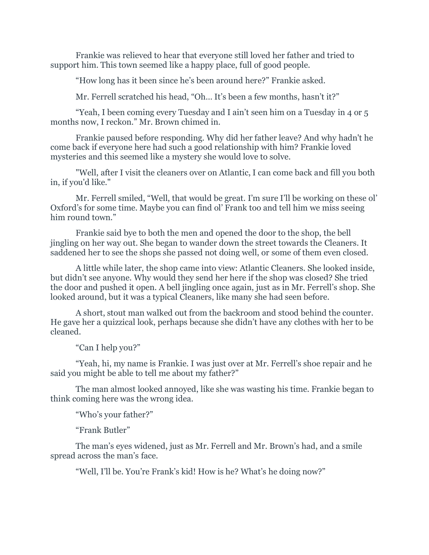Frankie was relieved to hear that everyone still loved her father and tried to support him. This town seemed like a happy place, full of good people.

"How long has it been since he's been around here?" Frankie asked.

Mr. Ferrell scratched his head, "Oh… It's been a few months, hasn't it?"

"Yeah, I been coming every Tuesday and I ain't seen him on a Tuesday in 4 or 5 months now, I reckon." Mr. Brown chimed in.

Frankie paused before responding. Why did her father leave? And why hadn't he come back if everyone here had such a good relationship with him? Frankie loved mysteries and this seemed like a mystery she would love to solve.

"Well, after I visit the cleaners over on Atlantic, I can come back and fill you both in, if you'd like."

Mr. Ferrell smiled, "Well, that would be great. I'm sure I'll be working on these ol' Oxford's for some time. Maybe you can find ol' Frank too and tell him we miss seeing him round town."

Frankie said bye to both the men and opened the door to the shop, the bell jingling on her way out. She began to wander down the street towards the Cleaners. It saddened her to see the shops she passed not doing well, or some of them even closed.

A little while later, the shop came into view: Atlantic Cleaners. She looked inside, but didn't see anyone. Why would they send her here if the shop was closed? She tried the door and pushed it open. A bell jingling once again, just as in Mr. Ferrell's shop. She looked around, but it was a typical Cleaners, like many she had seen before.

A short, stout man walked out from the backroom and stood behind the counter. He gave her a quizzical look, perhaps because she didn't have any clothes with her to be cleaned.

"Can I help you?"

"Yeah, hi, my name is Frankie. I was just over at Mr. Ferrell's shoe repair and he said you might be able to tell me about my father?"

The man almost looked annoyed, like she was wasting his time. Frankie began to think coming here was the wrong idea.

"Who's your father?"

"Frank Butler"

The man's eyes widened, just as Mr. Ferrell and Mr. Brown's had, and a smile spread across the man's face.

"Well, I'll be. You're Frank's kid! How is he? What's he doing now?"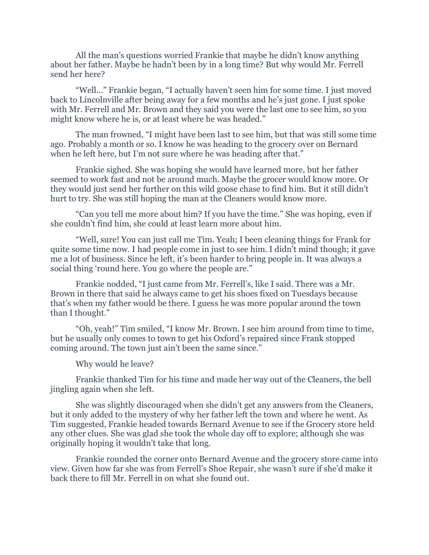All the man's questions worried Frankie that maybe he didn't know anything about her father. Maybe he hadn't been by in a long time? But why would Mr. Ferrell send her here?

"Well…" Frankie began, "I actually haven't seen him for some time. I just moved back to Lincolnville after being away for a few months and he's just gone. I just spoke with Mr. Ferrell and Mr. Brown and they said you were the last one to see him, so you might know where he is, or at least where he was headed."

The man frowned, "I might have been last to see him, but that was still some time ago. Probably a month or so. I know he was heading to the grocery over on Bernard when he left here, but I'm not sure where he was heading after that."

Frankie sighed. She was hoping she would have learned more, but her father seemed to work fast and not be around much. Maybe the grocer would know more. Or they would just send her further on this wild goose chase to find him. But it still didn't hurt to try. She was still hoping the man at the Cleaners would know more.

"Can you tell me more about him? If you have the time." She was hoping, even if she couldn't find him, she could at least learn more about him.

"Well, sure! You can just call me Tim. Yeah; I been cleaning things for Frank for quite some time now. I had people come in just to see him. I didn't mind though; it gave me a lot of business. Since he left, it's been harder to bring people in. It was always a social thing 'round here. You go where the people are."

Frankie nodded, "I just came from Mr. Ferrell's, like I said. There was a Mr. Brown in there that said he always came to get his shoes fixed on Tuesdays because that's when my father would be there. I guess he was more popular around the town than I thought."

"Oh, yeah!" Tim smiled, "I know Mr. Brown. I see him around from time to time, but he usually only comes to town to get his Oxford's repaired since Frank stopped coming around. The town just ain't been the same since."

Why would he leave?

Frankie thanked Tim for his time and made her way out of the Cleaners, the bell jingling again when she left.

She was slightly discouraged when she didn't get any answers from the Cleaners, but it only added to the mystery of why her father left the town and where he went. As Tim suggested, Frankie headed towards Bernard Avenue to see if the Grocery store held any other clues. She was glad she took the whole day off to explore; although she was originally hoping it wouldn't take that long.

Frankie rounded the corner onto Bernard Avenue and the grocery store came into view. Given how far she was from Ferrell's Shoe Repair, she wasn't sure if she'd make it back there to fill Mr. Ferrell in on what she found out.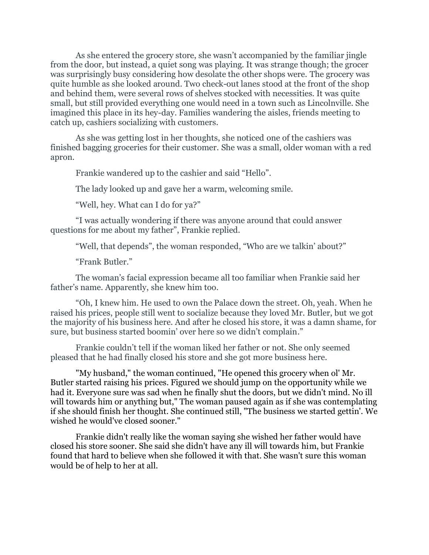As she entered the grocery store, she wasn't accompanied by the familiar jingle from the door, but instead, a quiet song was playing. It was strange though; the grocer was surprisingly busy considering how desolate the other shops were. The grocery was quite humble as she looked around. Two check-out lanes stood at the front of the shop and behind them, were several rows of shelves stocked with necessities. It was quite small, but still provided everything one would need in a town such as Lincolnville. She imagined this place in its hey-day. Families wandering the aisles, friends meeting to catch up, cashiers socializing with customers.

As she was getting lost in her thoughts, she noticed one of the cashiers was finished bagging groceries for their customer. She was a small, older woman with a red apron.

Frankie wandered up to the cashier and said "Hello".

The lady looked up and gave her a warm, welcoming smile.

"Well, hey. What can I do for ya?"

"I was actually wondering if there was anyone around that could answer questions for me about my father", Frankie replied.

"Well, that depends", the woman responded, "Who are we talkin' about?"

"Frank Butler."

The woman's facial expression became all too familiar when Frankie said her father's name. Apparently, she knew him too.

"Oh, I knew him. He used to own the Palace down the street. Oh, yeah. When he raised his prices, people still went to socialize because they loved Mr. Butler, but we got the majority of his business here. And after he closed his store, it was a damn shame, for sure, but business started boomin' over here so we didn't complain."

Frankie couldn't tell if the woman liked her father or not. She only seemed pleased that he had finally closed his store and she got more business here.

"My husband," the woman continued, "He opened this grocery when ol' Mr. Butler started raising his prices. Figured we should jump on the opportunity while we had it. Everyone sure was sad when he finally shut the doors, but we didn't mind. No ill will towards him or anything but," The woman paused again as if she was contemplating if she should finish her thought. She continued still, "The business we started gettin'. We wished he would've closed sooner."

Frankie didn't really like the woman saying she wished her father would have closed his store sooner. She said she didn't have any ill will towards him, but Frankie found that hard to believe when she followed it with that. She wasn't sure this woman would be of help to her at all.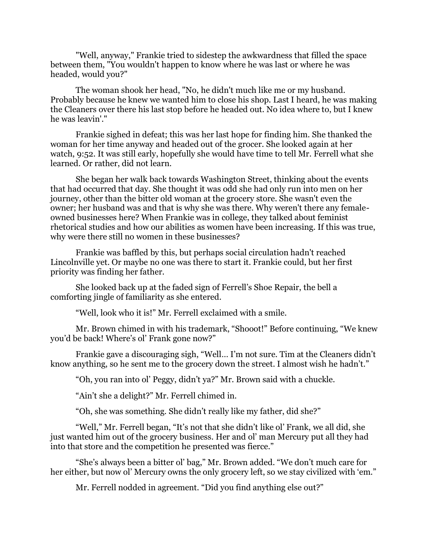"Well, anyway," Frankie tried to sidestep the awkwardness that filled the space between them, "You wouldn't happen to know where he was last or where he was headed, would you?"

The woman shook her head, "No, he didn't much like me or my husband. Probably because he knew we wanted him to close his shop. Last I heard, he was making the Cleaners over there his last stop before he headed out. No idea where to, but I knew he was leavin'."

Frankie sighed in defeat; this was her last hope for finding him. She thanked the woman for her time anyway and headed out of the grocer. She looked again at her watch, 9:52. It was still early, hopefully she would have time to tell Mr. Ferrell what she learned. Or rather, did not learn.

She began her walk back towards Washington Street, thinking about the events that had occurred that day. She thought it was odd she had only run into men on her journey, other than the bitter old woman at the grocery store. She wasn't even the owner; her husband was and that is why she was there. Why weren't there any femaleowned businesses here? When Frankie was in college, they talked about feminist rhetorical studies and how our abilities as women have been increasing. If this was true, why were there still no women in these businesses?

Frankie was baffled by this, but perhaps social circulation hadn't reached Lincolnville yet. Or maybe no one was there to start it. Frankie could, but her first priority was finding her father.

She looked back up at the faded sign of Ferrell's Shoe Repair, the bell a comforting jingle of familiarity as she entered.

"Well, look who it is!" Mr. Ferrell exclaimed with a smile.

Mr. Brown chimed in with his trademark, "Shooot!" Before continuing, "We knew you'd be back! Where's ol' Frank gone now?"

Frankie gave a discouraging sigh, "Well… I'm not sure. Tim at the Cleaners didn't know anything, so he sent me to the grocery down the street. I almost wish he hadn't."

"Oh, you ran into ol' Peggy, didn't ya?" Mr. Brown said with a chuckle.

"Ain't she a delight?" Mr. Ferrell chimed in.

"Oh, she was something. She didn't really like my father, did she?"

"Well," Mr. Ferrell began, "It's not that she didn't like ol' Frank, we all did, she just wanted him out of the grocery business. Her and ol' man Mercury put all they had into that store and the competition he presented was fierce."

"She's always been a bitter ol' bag," Mr. Brown added. "We don't much care for her either, but now ol' Mercury owns the only grocery left, so we stay civilized with 'em."

Mr. Ferrell nodded in agreement. "Did you find anything else out?"